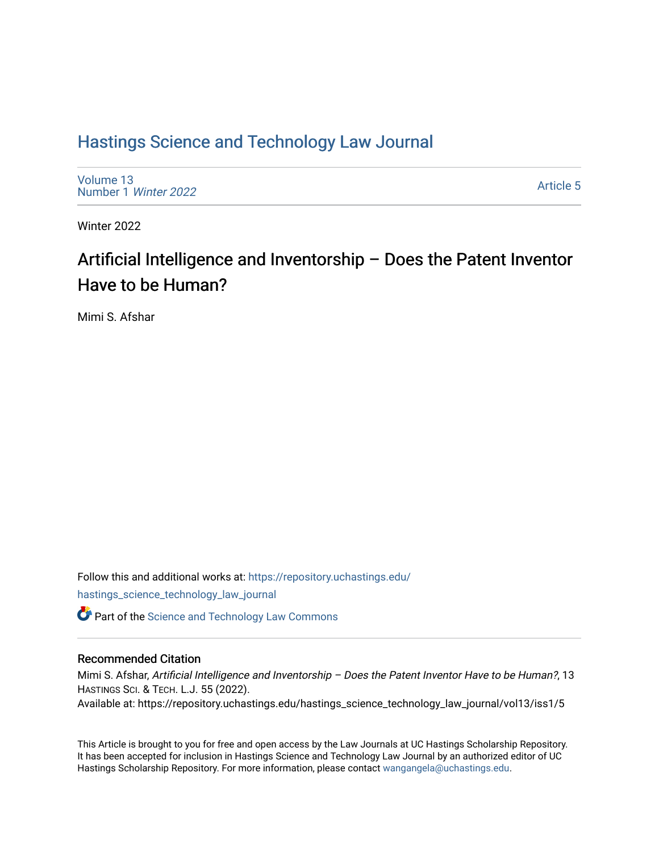## [Hastings Science and Technology Law Journal](https://repository.uchastings.edu/hastings_science_technology_law_journal)

[Volume 13](https://repository.uchastings.edu/hastings_science_technology_law_journal/vol13) [Number 1](https://repository.uchastings.edu/hastings_science_technology_law_journal/vol13/iss1) Winter 2022

[Article 5](https://repository.uchastings.edu/hastings_science_technology_law_journal/vol13/iss1/5) 

Winter 2022

# Artificial Intelligence and Inventorship – Does the Patent Inventor Have to be Human?

Mimi S. Afshar

Follow this and additional works at: [https://repository.uchastings.edu/](https://repository.uchastings.edu/hastings_science_technology_law_journal?utm_source=repository.uchastings.edu%2Fhastings_science_technology_law_journal%2Fvol13%2Fiss1%2F5&utm_medium=PDF&utm_campaign=PDFCoverPages) [hastings\\_science\\_technology\\_law\\_journal](https://repository.uchastings.edu/hastings_science_technology_law_journal?utm_source=repository.uchastings.edu%2Fhastings_science_technology_law_journal%2Fvol13%2Fiss1%2F5&utm_medium=PDF&utm_campaign=PDFCoverPages) 

**C** Part of the [Science and Technology Law Commons](http://network.bepress.com/hgg/discipline/875?utm_source=repository.uchastings.edu%2Fhastings_science_technology_law_journal%2Fvol13%2Fiss1%2F5&utm_medium=PDF&utm_campaign=PDFCoverPages)

## Recommended Citation

Mimi S. Afshar, Artificial Intelligence and Inventorship – Does the Patent Inventor Have to be Human?, 13 HASTINGS SCI. & TECH. L.J. 55 (2022).

Available at: https://repository.uchastings.edu/hastings\_science\_technology\_law\_journal/vol13/iss1/5

This Article is brought to you for free and open access by the Law Journals at UC Hastings Scholarship Repository. It has been accepted for inclusion in Hastings Science and Technology Law Journal by an authorized editor of UC Hastings Scholarship Repository. For more information, please contact [wangangela@uchastings.edu.](mailto:wangangela@uchastings.edu)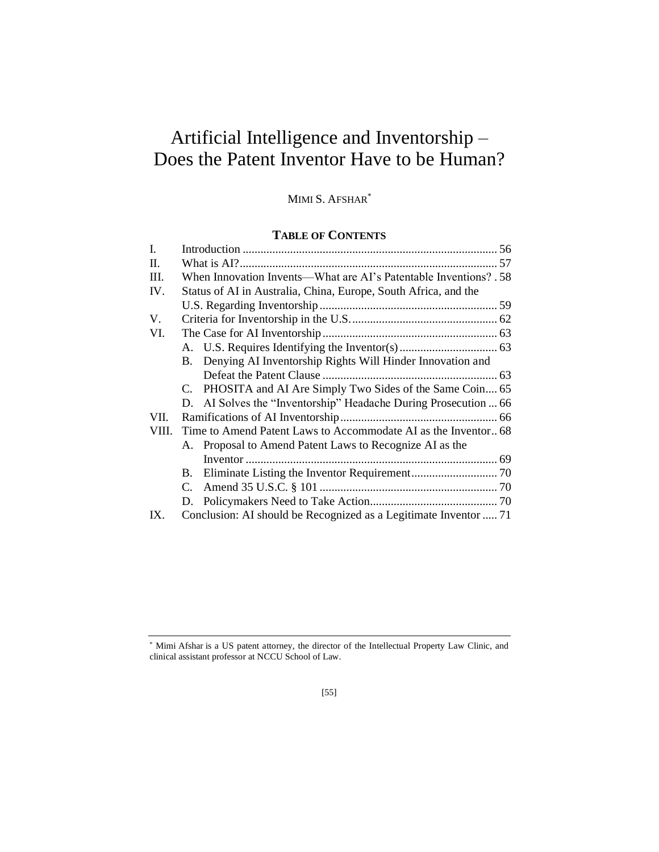# Artificial Intelligence and Inventorship – Does the Patent Inventor Have to be Human?

## MIMI S. AFSHAR\*

## **TABLE OF CONTENTS**

| $\mathbf{I}$ . |                                                                   |                                                                  |  |
|----------------|-------------------------------------------------------------------|------------------------------------------------------------------|--|
| II.            |                                                                   |                                                                  |  |
| III.           | When Innovation Invents—What are AI's Patentable Inventions? . 58 |                                                                  |  |
| IV.            | Status of AI in Australia, China, Europe, South Africa, and the   |                                                                  |  |
|                |                                                                   |                                                                  |  |
| V.             |                                                                   |                                                                  |  |
| VI.            |                                                                   |                                                                  |  |
|                |                                                                   |                                                                  |  |
|                |                                                                   | B. Denying AI Inventorship Rights Will Hinder Innovation and     |  |
|                |                                                                   |                                                                  |  |
|                |                                                                   | C. PHOSITA and AI Are Simply Two Sides of the Same Coin 65       |  |
|                |                                                                   | D. AI Solves the "Inventorship" Headache During Prosecution  66  |  |
| VII.           |                                                                   |                                                                  |  |
| VIII.          |                                                                   | Time to Amend Patent Laws to Accommodate AI as the Inventor 68   |  |
|                |                                                                   | A. Proposal to Amend Patent Laws to Recognize AI as the          |  |
|                |                                                                   |                                                                  |  |
|                | В.                                                                |                                                                  |  |
|                | C.                                                                |                                                                  |  |
|                | D.                                                                |                                                                  |  |
| IX.            |                                                                   | Conclusion: AI should be Recognized as a Legitimate Inventor  71 |  |

<sup>\*</sup> Mimi Afshar is a US patent attorney, the director of the Intellectual Property Law Clinic, and clinical assistant professor at NCCU School of Law.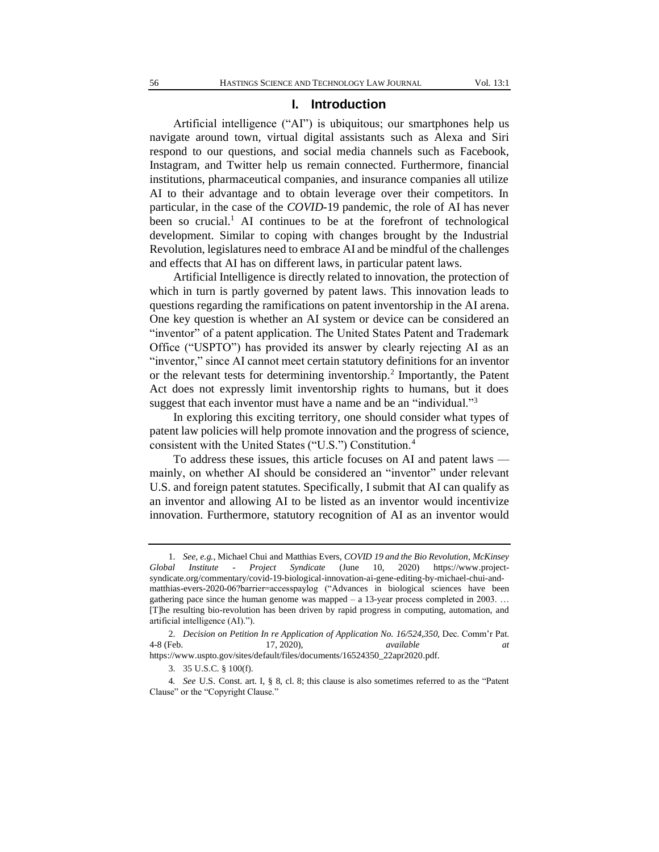#### **I. Introduction**

Artificial intelligence ("AI") is ubiquitous; our smartphones help us navigate around town, virtual digital assistants such as Alexa and Siri respond to our questions, and social media channels such as Facebook, Instagram, and Twitter help us remain connected. Furthermore, financial institutions, pharmaceutical companies, and insurance companies all utilize AI to their advantage and to obtain leverage over their competitors. In particular, in the case of the *COVID*-19 pandemic, the role of AI has never been so crucial.<sup>1</sup> AI continues to be at the forefront of technological development. Similar to coping with changes brought by the Industrial Revolution, legislatures need to embrace AI and be mindful of the challenges and effects that AI has on different laws, in particular patent laws.

Artificial Intelligence is directly related to innovation, the protection of which in turn is partly governed by patent laws. This innovation leads to questions regarding the ramifications on patent inventorship in the AI arena. One key question is whether an AI system or device can be considered an "inventor" of a patent application. The United States Patent and Trademark Office ("USPTO") has provided its answer by clearly rejecting AI as an "inventor," since AI cannot meet certain statutory definitions for an inventor or the relevant tests for determining inventorship.<sup>2</sup> Importantly, the Patent Act does not expressly limit inventorship rights to humans, but it does suggest that each inventor must have a name and be an "individual."<sup>3</sup>

In exploring this exciting territory, one should consider what types of patent law policies will help promote innovation and the progress of science, consistent with the United States ("U.S.") Constitution.<sup>4</sup>

To address these issues, this article focuses on AI and patent laws mainly, on whether AI should be considered an "inventor" under relevant U.S. and foreign patent statutes. Specifically, I submit that AI can qualify as an inventor and allowing AI to be listed as an inventor would incentivize innovation. Furthermore, statutory recognition of AI as an inventor would

<sup>1.</sup> *See, e.g.*[, Michael](https://www.mckinsey.com/our-people/michael-chui) Chui and [Matthias](https://www.mckinsey.com/our-people/matthias-evers) Evers, *COVID 19 and the Bio Revolution, McKinsey Global Institute - Project Syndicate* (June 10, 2020) https://www.projectsyndicate.org/commentary/covid-19-biological-innovation-ai-gene-editing-by-michael-chui-andmatthias-evers-2020-06?barrier=accesspaylog ("Advances in biological sciences have been gathering pace since the human genome was mapped  $-$  a 13-year process completed in 2003. ... [T]he resulting bio-revolution has been driven by rapid progress in computing, automation, and artificial intelligence (AI).").

<sup>2.</sup> *Decision on Petition In re Application of Application No. 16/524,350,* Dec. Comm'r Pat. 4-8 (Feb. 17, 2020), *available at*

https://www.uspto.gov/sites/default/files/documents/16524350\_22apr2020.pdf.

<sup>3.</sup> 35 U.S.C. § 100(f).

<sup>4</sup>*. See* U.S. Const. art. I, § 8, cl. 8; this clause is also sometimes referred to as the "Patent Clause" or the "Copyright Clause."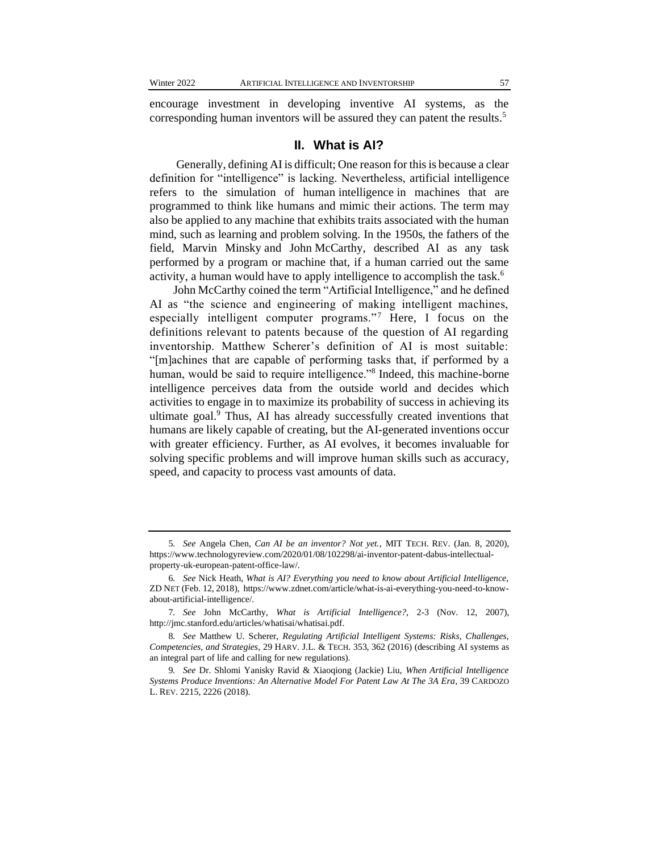encourage investment in developing inventive AI systems, as the corresponding human inventors will be assured they can patent the results.<sup>5</sup>

#### **II. What is AI?**

Generally, defining AI is difficult; One reason for this is because a clear definition for "intelligence" is lacking. Nevertheless, artificial intelligence refers to the simulation of human intelligence in machines that are programmed to think like humans and mimic their actions. The term may also be applied to any machine that exhibits traits associated with the human mind, such as learning and problem solving. In the 1950s, the fathers of the field, Marvin [Minsky](http://web.media.mit.edu/~minsky/) and John [McCarthy,](http://www-formal.stanford.edu/jmc/) described AI as any task performed by a program or machine that, if a human carried out the same activity, a human would have to apply intelligence to accomplish the task.<sup>6</sup>

John McCarthy coined the term "Artificial Intelligence," and he defined AI as "the science and engineering of making intelligent machines, especially intelligent computer programs."<sup>7</sup> Here, I focus on the definitions relevant to patents because of the question of AI regarding inventorship. Matthew Scherer's definition of AI is most suitable: "[m]achines that are capable of performing tasks that, if performed by a human, would be said to require intelligence."<sup>8</sup> Indeed, this machine-borne intelligence perceives data from the outside world and decides which activities to engage in to maximize its probability of success in achieving its ultimate goal.<sup>9</sup> Thus, AI has already successfully created inventions that humans are likely capable of creating, but the AI-generated inventions occur with greater efficiency. Further, as AI evolves, it becomes invaluable for solving specific problems and will improve human skills such as accuracy, speed, and capacity to process vast amounts of data.

<sup>5</sup>*. See* Angela Chen, *Can AI be an inventor? Not yet.*, MIT TECH. REV. (Jan. 8, 2020), https://www.technologyreview.com/2020/01/08/102298/ai-inventor-patent-dabus-intellectualproperty-uk-european-patent-office-law/.

<sup>6</sup>*. See* Nick Heath, *What is AI? Everything you need to know about Artificial Intelligence*, ZD NET (Feb. 12, 2018), https://www.zdnet.com/article/what-is-ai-everything-you-need-to-knowabout-artificial-intelligence/.

<sup>7</sup>*. See* John McCarthy, *What is Artificial Intelligence?*, 2-3 (Nov. 12, 2007), http://jmc.stanford.edu/articles/whatisai/whatisai.pdf.

<sup>8</sup>*. See* Matthew U. Scherer, *Regulating Artificial Intelligent Systems: Risks, Challenges, Competencies, and Strategies*, 29 HARV. J.L. & TECH. 353, 362 (2016) (describing AI systems as an integral part of life and calling for new regulations).

<sup>9</sup>*. See* Dr. Shlomi Yanisky Ravid & Xiaoqiong (Jackie) Liu, *When Artificial Intelligence Systems Produce Inventions: An Alternative Model For Patent Law At The 3A Era*, 39 CARDOZO L. REV. 2215, 2226 (2018).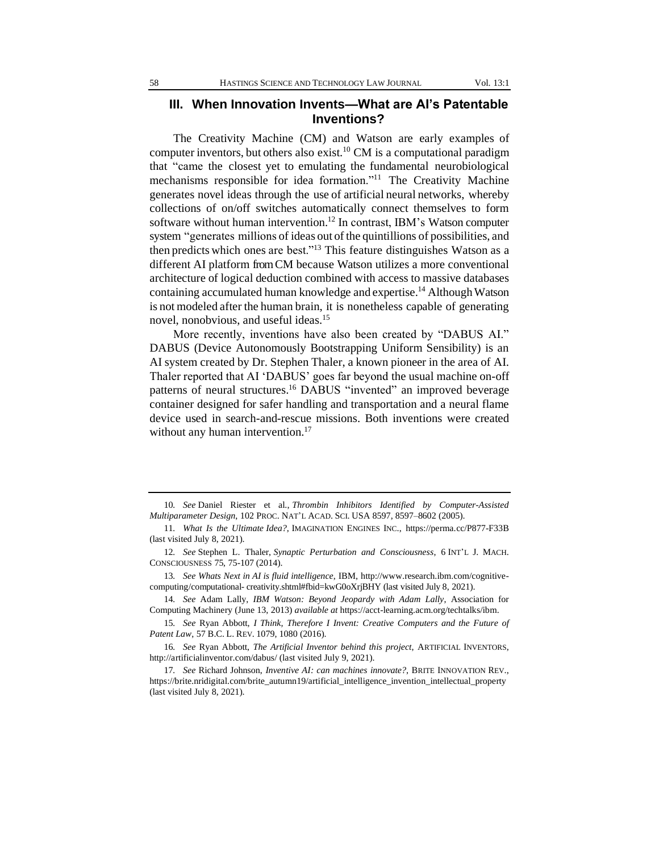## **III. When Innovation Invents—What are AI's Patentable Inventions?**

The Creativity Machine (CM) and Watson are early examples of computer inventors, but others also exist.<sup>10</sup> CM is a computational paradigm that "came the closest yet to emulating the fundamental neurobiological mechanisms responsible for idea formation."<sup>11</sup> The Creativity Machine generates novel ideas through the use of artificial neural networks, whereby collections of on/off switches automatically connect themselves to form software without human intervention.<sup>12</sup> In contrast, IBM's Watson computer system "generates millions of ideas out of the quintillions of possibilities, and then predicts which ones are best."<sup>13</sup> This feature distinguishes Watson as a different AI platform fromCM because Watson utilizes a more conventional architecture of logical deduction combined with access to massive databases containing accumulated human knowledge and expertise.<sup>14</sup> Although Watson is not modeled after the human brain, it is nonetheless capable of generating novel, nonobvious, and useful ideas.<sup>15</sup>

More recently, inventions have also been created by "DABUS AI." DABUS (Device Autonomously Bootstrapping Uniform Sensibility) is an AI system created by Dr. Stephen Thaler, a known pioneer in the area of AI. Thaler reported that AI 'DABUS' goes far beyond the usual machine on-off patterns of neural structures.<sup>16</sup> DABUS "invented" an improved beverage container designed for safer handling and transportation and a neural flame device used in search-and-rescue missions. Both inventions were created without any human intervention.<sup>17</sup>

14*. See* Adam Lally, *IBM Watson: Beyond Jeopardy with Adam Lally*, Association for Computing Machinery (June 13, 2013) *available at* https://acct-learning.acm.org/techtalks/ibm.

15*. See* Ryan Abbott, *I Think, Therefore I Invent: Creative Computers and the Future of Patent Law*, 57 B.C. L. REV. 1079, 1080 (2016).

16*. See* Ryan Abbott, *The Artificial Inventor behind this project*, ARTIFICIAL INVENTORS, http://artificialinventor.com/dabus/ (last visited July 9, 2021).

<sup>10</sup>*. See* Daniel Riester et al., *Thrombin Inhibitors Identified by Computer-Assisted Multiparameter Design*, 102 PROC. NAT'L ACAD. SCI. USA 8597, 8597–8602 (2005).

<sup>11</sup>*. What Is the Ultimate Idea?*, IMAGINATION ENGINES INC., https://perma.cc/P877-F33B (last visited July 8, 2021).

<sup>12</sup>*. See* Stephen L. Thaler, *Synaptic Perturbation and Consciousness*, 6 INT'L J. MACH. CONSCIOUSNESS 75, 75-107 (2014).

<sup>13</sup>*. See Whats Next in AI is fluid intelligence*, IBM, http://www.research.ibm.com/cognitivecomputing/computational- creativity.shtml#fbid=kwG0oXrjBHY (last visited July 8, 2021).

<sup>17</sup>*. See* Richard Johnson, *Inventive AI: can machines innovate?*, BRITE INNOVATION REV., https://brite.nridigital.com/brite\_autumn19/artificial\_intelligence\_invention\_intellectual\_property (last visited July 8, 2021).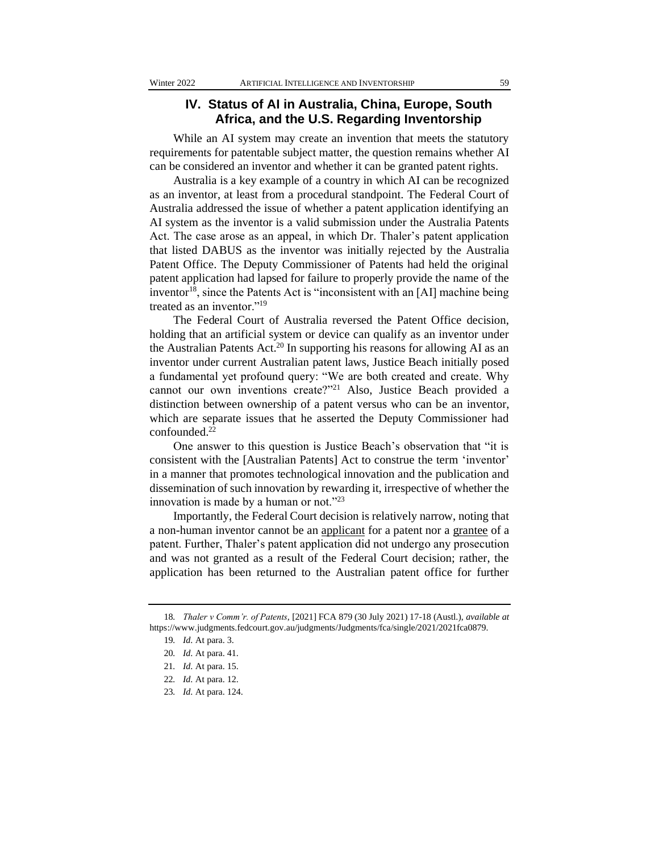## **IV. Status of AI in Australia, China, Europe, South Africa, and the U.S. Regarding Inventorship**

While an AI system may create an invention that meets the statutory requirements for patentable subject matter, the question remains whether AI can be considered an inventor and whether it can be granted patent rights.

Australia is a key example of a country in which AI can be recognized as an inventor, at least from a procedural standpoint. The Federal Court of Australia addressed the issue of whether a patent application identifying an AI system as the inventor is a valid submission under the Australia Patents Act. The case arose as an appeal, in which Dr. Thaler's patent application that listed DABUS as the inventor was initially rejected by the Australia Patent Office. The Deputy Commissioner of Patents had held the original patent application had lapsed for failure to properly provide the name of the inventor<sup>18</sup>, since the Patents Act is "inconsistent with an [AI] machine being treated as an inventor."<sup>19</sup>

The Federal Court of Australia reversed the Patent Office decision, holding that an artificial system or device can qualify as an inventor under the Australian Patents Act.<sup>20</sup> In supporting his reasons for allowing AI as an inventor under current Australian patent laws, Justice Beach initially posed a fundamental yet profound query: "We are both created and create. Why cannot our own inventions create?"<sup>21</sup> Also, Justice Beach provided a distinction between ownership of a patent versus who can be an inventor, which are separate issues that he asserted the Deputy Commissioner had confounded.<sup>22</sup>

One answer to this question is Justice Beach's observation that "it is consistent with the [Australian Patents] Act to construe the term 'inventor' in a manner that promotes technological innovation and the publication and dissemination of such innovation by rewarding it, irrespective of whether the innovation is made by a human or not."23

Importantly, the Federal Court decision is relatively narrow, noting that a non-human inventor cannot be an applicant for a patent nor a grantee of a patent. Further, Thaler's patent application did not undergo any prosecution and was not granted as a result of the Federal Court decision; rather, the application has been returned to the Australian patent office for further

<sup>18</sup>*. Thaler v Comm'r. of Patents*, [2021] FCA 879 (30 July 2021) 17-18 (Austl.), *available at* https://www.judgments.fedcourt.gov.au/judgments/Judgments/fca/single/2021/2021fca0879.

<sup>19</sup>*. Id*. At para. 3.

<sup>20</sup>*. Id*. At para. 41.

<sup>21</sup>*. Id*. At para. 15.

<sup>22</sup>*. Id*. At para. 12.

<sup>23</sup>*. Id*. At para. 124.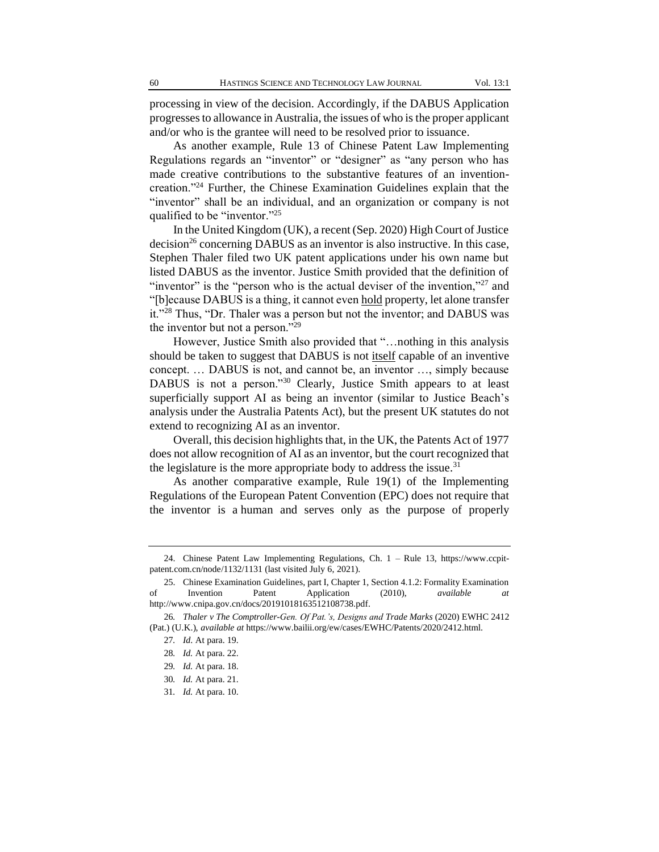processing in view of the decision. Accordingly, if the DABUS Application progresses to allowance in Australia, the issues of who is the proper applicant and/or who is the grantee will need to be resolved prior to issuance.

As another example, Rule 13 of Chinese Patent Law Implementing Regulations regards an "inventor" or "designer" as "any person who has made creative contributions to the substantive features of an inventioncreation."<sup>24</sup> Further, the Chinese Examination Guidelines explain that the "inventor" shall be an individual, and an organization or company is not qualified to be "inventor."<sup>25</sup>

In the United Kingdom (UK), a recent (Sep. 2020) High Court of Justice  $decision<sup>26</sup> concerning DABUS as an inventor is also instructive. In this case,$ Stephen Thaler filed two UK patent applications under his own name but listed DABUS as the inventor. Justice Smith provided that the definition of "inventor" is the "person who is the actual deviser of the invention,"<sup>27</sup> and "[b]ecause DABUS is a thing, it cannot even hold property, let alone transfer it."<sup>28</sup> Thus, "Dr. Thaler was a person but not the inventor; and DABUS was the inventor but not a person."<sup>29</sup>

However, Justice Smith also provided that "…nothing in this analysis should be taken to suggest that DABUS is not itself capable of an inventive concept. … DABUS is not, and cannot be, an inventor …, simply because DABUS is not a person."<sup>30</sup> Clearly, Justice Smith appears to at least superficially support AI as being an inventor (similar to Justice Beach's analysis under the Australia Patents Act), but the present UK statutes do not extend to recognizing AI as an inventor.

Overall, this decision highlights that, in the UK, the Patents Act of 1977 does not allow recognition of AI as an inventor, but the court recognized that the legislature is the more appropriate body to address the issue. $31$ 

As another comparative example, Rule 19(1) of the Implementing Regulations of the European Patent Convention (EPC) does not require that the inventor is a human and serves only as the purpose of properly

<sup>24.</sup> Chinese Patent Law Implementing Regulations, Ch. 1 – Rule 13, https://www.ccpitpatent.com.cn/node/1132/1131 (last visited July 6, 2021).

<sup>25.</sup> Chinese Examination Guidelines, part I, Chapter 1, Section 4.1.2: Formality Examination of Invention Patent Application (2010), *available at* http://www.cnipa.gov.cn/docs/20191018163512108738.pdf.

<sup>26</sup>*. Thaler v The Comptroller-Gen. Of Pat.'s, Designs and Trade Marks* (2020) EWHC 2412 (Pat.) (U.K.), *available at* https://www.bailii.org/ew/cases/EWHC/Patents/2020/2412.html.

<sup>27</sup>*. Id*. At para. 19.

<sup>28</sup>*. Id.* At para. 22.

<sup>29</sup>*. Id.* At para. 18.

<sup>30</sup>*. Id.* At para. 21.

<sup>31</sup>*. Id.* At para. 10.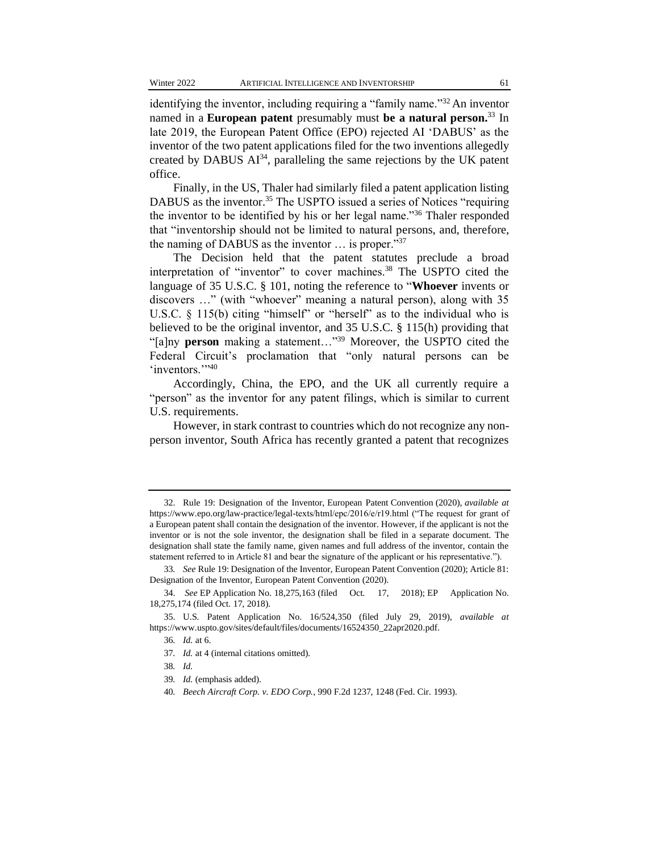identifying the inventor, including requiring a "family name."<sup>32</sup> An inventor named in a **European patent** presumably must **be a natural person.**<sup>33</sup> In late 2019, the European Patent Office (EPO) rejected AI 'DABUS' as the inventor of the two patent applications filed for the two inventions allegedly created by DABUS  $AI^{34}$ , paralleling the same rejections by the UK patent office.

Finally, in the US, Thaler had similarly filed a patent application listing DABUS as the inventor.<sup>35</sup> The USPTO issued a series of Notices "requiring the inventor to be identified by his or her legal name."<sup>36</sup> Thaler responded that "inventorship should not be limited to natural persons, and, therefore, the naming of DABUS as the inventor … is proper."<sup>37</sup>

The Decision held that the patent statutes preclude a broad interpretation of "inventor" to cover machines.<sup>38</sup> The USPTO cited the language of 35 U.S.C. § 101, noting the reference to "**Whoever** invents or discovers …" (with "whoever" meaning a natural person), along with 35 U.S.C. § 115(b) citing "himself" or "herself" as to the individual who is believed to be the original inventor, and 35 U.S.C. § 115(h) providing that "[a]ny **person** making a statement…"<sup>39</sup> Moreover, the USPTO cited the Federal Circuit's proclamation that "only natural persons can be 'inventors.",40

Accordingly, China, the EPO, and the UK all currently require a "person" as the inventor for any patent filings, which is similar to current U.S. requirements.

However, in stark contrast to countries which do not recognize any nonperson inventor, South Africa has recently granted a patent that recognizes

- 37*. Id.* at 4 (internal citations omitted).
- 38*. Id.*
- 39*. Id.* (emphasis added).
- 40*. Beech Aircraft Corp. v. EDO Corp.*, 990 F.2d 1237, 1248 (Fed. Cir. 1993).

<sup>32.</sup> Rule 19: Designation of the Inventor, European Patent Convention (2020), *available at* https://www.epo.org/law-practice/legal-texts/html/epc/2016/e/r19.html ("The request for grant of a European patent shall contain the designation of the inventor. However, if the applicant is not the inventor or is not the sole inventor, the designation shall be filed in a separate document. The designation shall state the family name, given names and full address of the inventor, contain the statement referred to in Article 81 and bear the signature of the applicant or his representative.").

<sup>33</sup>*. See* Rule 19: Designation of the Inventor, European Patent Convention (2020); Article 81: Designation of the Inventor, European Patent Convention (2020).

<sup>34.</sup> *See* EP Application No. 18,275,163 (filed Oct. 17, 2018); EP Application No. 18,275,174 (filed Oct. 17, 2018).

<sup>35.</sup> U.S. Patent Application No. 16/524,350 (filed July 29, 2019), *available at* https://www.uspto.gov/sites/default/files/documents/16524350\_22apr2020.pdf.

<sup>36</sup>*. Id.* at 6.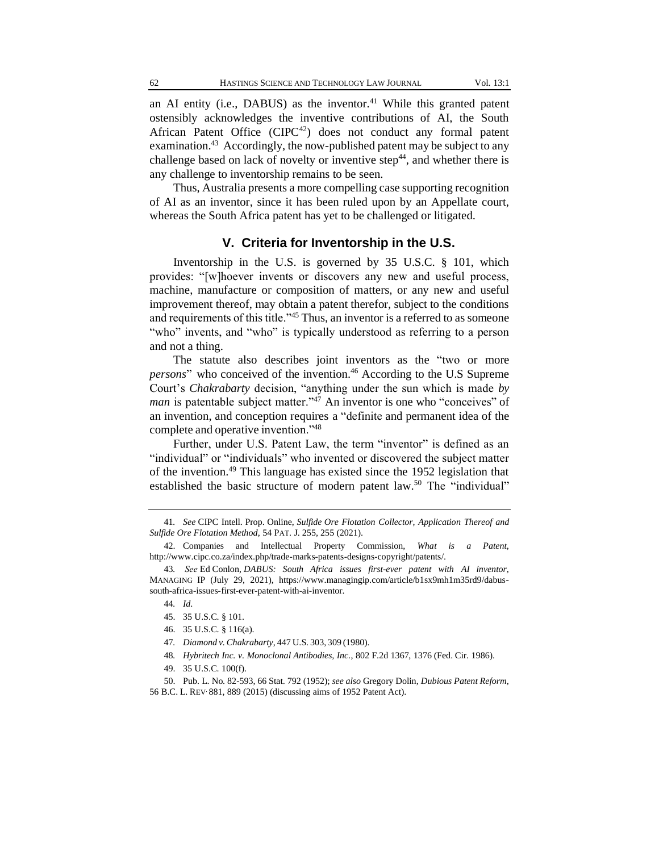an AI entity (i.e., DABUS) as the inventor.<sup>41</sup> While this granted patent ostensibly acknowledges the inventive contributions of AI, the South African Patent Office  $(CIPC^{42})$  does not conduct any formal patent examination.<sup>43</sup> Accordingly, the now-published patent may be subject to any challenge based on lack of novelty or inventive step $^{44}$ , and whether there is any challenge to inventorship remains to be seen.

Thus, Australia presents a more compelling case supporting recognition of AI as an inventor, since it has been ruled upon by an Appellate court, whereas the South Africa patent has yet to be challenged or litigated.

## **V. Criteria for Inventorship in the U.S.**

Inventorship in the U.S. is governed by 35 U.S.C. § 101, which provides: "[w]hoever invents or discovers any new and useful process, machine, manufacture or composition of matters, or any new and useful improvement thereof, may obtain a patent therefor, subject to the conditions and requirements of this title."<sup>45</sup> Thus, an inventor is a referred to as someone "who" invents, and "who" is typically understood as referring to a person and not a thing.

The statute also describes joint inventors as the "two or more *persons*" who conceived of the invention.<sup>46</sup> According to the U.S Supreme Court's *Chakrabarty* decision, "anything under the sun which is made *by man* is patentable subject matter."<sup>47</sup> An inventor is one who "conceives" of an invention, and conception requires a "definite and permanent idea of the complete and operative invention."<sup>48</sup>

Further, under U.S. Patent Law, the term "inventor" is defined as an "individual" or "individuals" who invented or discovered the subject matter of the invention.<sup>49</sup> This language has existed since the 1952 legislation that established the basic structure of modern patent law.<sup>50</sup> The "individual"

48*. Hybritech Inc. v. Monoclonal Antibodies, Inc.*, 802 F.2d 1367, 1376 (Fed. Cir. 1986).

<sup>41</sup>*. See* CIPC Intell. Prop. Online, *Sulfide Ore Flotation Collector, Application Thereof and Sulfide Ore Flotation Method*, 54 PAT. J. 255, 255 (2021).

<sup>42.</sup> Companies and Intellectual Property Commission, *What is a Patent*, http://www.cipc.co.za/index.php/trade-marks-patents-designs-copyright/patents/.

<sup>43</sup>*.  See* Ed Conlon, *DABUS: South Africa issues first-ever patent with AI inventor*, MANAGING IP (July 29, 2021), https://www.managingip.com/article/b1sx9mh1m35rd9/dabussouth-africa-issues-first-ever-patent-with-ai-inventor.

<sup>44</sup>*. Id*.

<sup>45.</sup> 35 U.S.C. § 101.

<sup>46.</sup> 35 U.S.C. § 116(a).

<sup>47</sup>*. Diamond v.Chakrabarty*, 447 U.S. 303, 309 (1980).

<sup>49.</sup> 35 U.S.C. 100(f).

<sup>50.</sup> Pub. L. No. 82-593, 66 Stat. 792 (1952); *see also* Gregory Dolin, *Dubious Patent Reform*, 56 B.C. L. REV. 881, 889 (2015) (discussing aims of 1952 Patent Act).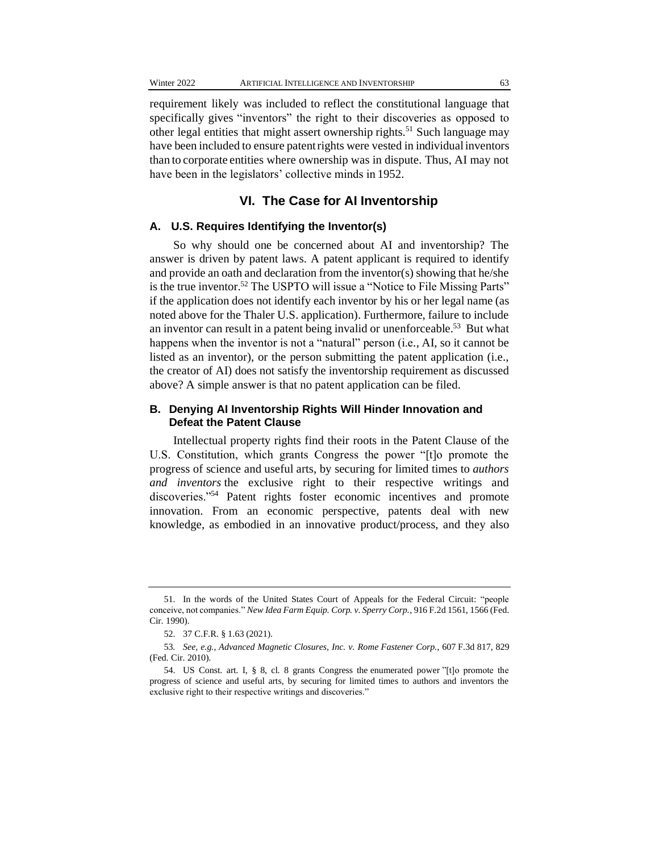requirement likely was included to reflect the constitutional language that specifically gives "inventors" the right to their discoveries as opposed to other legal entities that might assert ownership rights.<sup>51</sup> Such language may have been included to ensure patent rights were vested in individual inventors than to corporate entities where ownership was in dispute. Thus, AI may not have been in the legislators' collective minds in 1952.

#### **VI. The Case for AI Inventorship**

#### **A. U.S. Requires Identifying the Inventor(s)**

So why should one be concerned about AI and inventorship? The answer is driven by patent laws. A patent applicant is required to identify and provide an oath and declaration from the inventor(s) showing that he/she is the true inventor.<sup>52</sup> The USPTO will issue a "Notice to File Missing Parts" if the application does not identify each inventor by his or her legal name (as noted above for the Thaler U.S. application). Furthermore, failure to include an inventor can result in a patent being invalid or unenforceable.<sup>53</sup> But what happens when the inventor is not a "natural" person (i.e*.*, AI, so it cannot be listed as an inventor), or the person submitting the patent application (i.e., the creator of AI) does not satisfy the inventorship requirement as discussed above? A simple answer is that no patent application can be filed.

#### **B. Denying AI Inventorship Rights Will Hinder Innovation and Defeat the Patent Clause**

Intellectual property rights find their roots in the Patent Clause of the U.S. Constitution, which grants Congress the power "[t]o promote the progress of science and useful arts, by securing for limited times to *authors and inventors* the exclusive right to their respective writings and discoveries."<sup>54</sup> Patent rights foster economic incentives and promote innovation. From an economic perspective, patents deal with new knowledge, as embodied in an innovative product/process, and they also

<sup>51.</sup> In the words of the United States Court of Appeals for the Federal Circuit: "people conceive, not companies." *New Idea Farm Equip. Corp. v. Sperry Corp.*, 916 F.2d 1561, 1566 (Fed. Cir. 1990).

<sup>52.</sup> 37 C.F.R. § 1.63 (2021).

<sup>53</sup>*. See, e.g.*, *Advanced Magnetic Closures, Inc. v. Rome Fastener Corp.*, 607 F.3d 817, 829 (Fed. Cir. 2010).

<sup>54.</sup> US Const. [art. I, § 8, cl. 8](https://www.law.cornell.edu/constitution/constitution.articlei.html#section8) grants Congress the [enumerated power](https://legaldictionary.net/enumerated-powers/) "[t]o promote the progress of science and useful arts, by securing for limited times to authors and inventors the exclusive right to their respective writings and discoveries."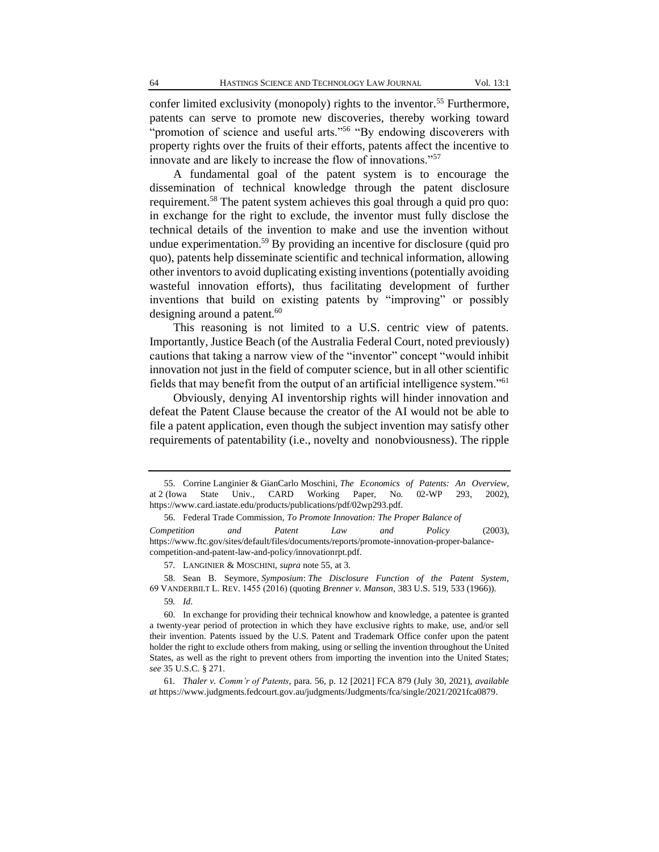confer limited exclusivity (monopoly) rights to the inventor.<sup>55</sup> Furthermore, patents can serve to promote new discoveries, thereby working toward "promotion of science and useful arts."<sup>56</sup> "By endowing discoverers with property rights over the fruits of their efforts, patents affect the incentive to innovate and are likely to increase the flow of innovations."<sup>57</sup>

A fundamental goal of the patent system is to encourage the dissemination of technical knowledge through the patent disclosure requirement.<sup>58</sup> The patent system achieves this goal through a quid pro quo: in exchange for the right to exclude, the inventor must fully disclose the technical details of the invention to make and use the invention without undue experimentation.<sup>59</sup> By providing an incentive for disclosure (quid pro quo), patents help disseminate scientific and technical information, allowing other inventors to avoid duplicating existing inventions (potentially avoiding wasteful innovation efforts), thus facilitating development of further inventions that build on existing patents by "improving" or possibly designing around a patent. $60$ 

This reasoning is not limited to a U.S. centric view of patents. Importantly, Justice Beach (of the Australia Federal Court, noted previously) cautions that taking a narrow view of the "inventor" concept "would inhibit innovation not just in the field of computer science, but in all other scientific fields that may benefit from the output of an artificial intelligence system."<sup>61</sup>

Obviously, denying AI inventorship rights will hinder innovation and defeat the Patent Clause because the creator of the AI would not be able to file a patent application, even though the subject invention may satisfy other requirements of patentability (i.e., novelty and nonobviousness). The ripple

<sup>55.</sup> Corrine Langinier & GianCarlo Moschini, *The Economics of Patents: An Overview,*  at 2 (Iowa State Univ., CARD Working Paper, No. 02-WP 293, 2002), https://www.card.iastate.edu/products/publications/pdf/02wp293.pdf.

<sup>56.</sup> Federal Trade Commission, *To Promote Innovation: The Proper Balance of Competition and Patent Law and Policy* (2003), https://www.ftc.gov/sites/default/files/documents/reports/promote-innovation-proper-balancecompetition-and-patent-law-and-policy/innovationrpt.pdf.

<sup>57</sup>*.* LANGINIER & MOSCHINI, *supra* note 55, at 3.

<sup>58.</sup> Sean B. Seymore, *Symposium*: *The Disclosure Function of the Patent System*, 69 VANDERBILT L. REV. 1455 (2016) (quoting *Brenner v. Manson*, 383 U.S. 519, 533 (1966)).

<sup>59</sup>*. Id*.

<sup>60.</sup> In exchange for providing their technical knowhow and knowledge, a patentee is granted a twenty-year period of protection in which they have exclusive rights to make, use, and/or sell their invention. Patents issued by the U.S. Patent and Trademark Office confer upon the patent holder the right to exclude others from making, using or selling the invention throughout the United States, as well as the right to prevent others from importing the invention into the United States; *see* [35 U.S.C. § 271.](https://www.bitlaw.com/source/35usc/271.html)

<sup>61</sup>*. Thaler v. Comm'r of Patents*, para. 56, p. 12 [2021] FCA 879 (July 30, 2021), *available at* https://www.judgments.fedcourt.gov.au/judgments/Judgments/fca/single/2021/2021fca0879.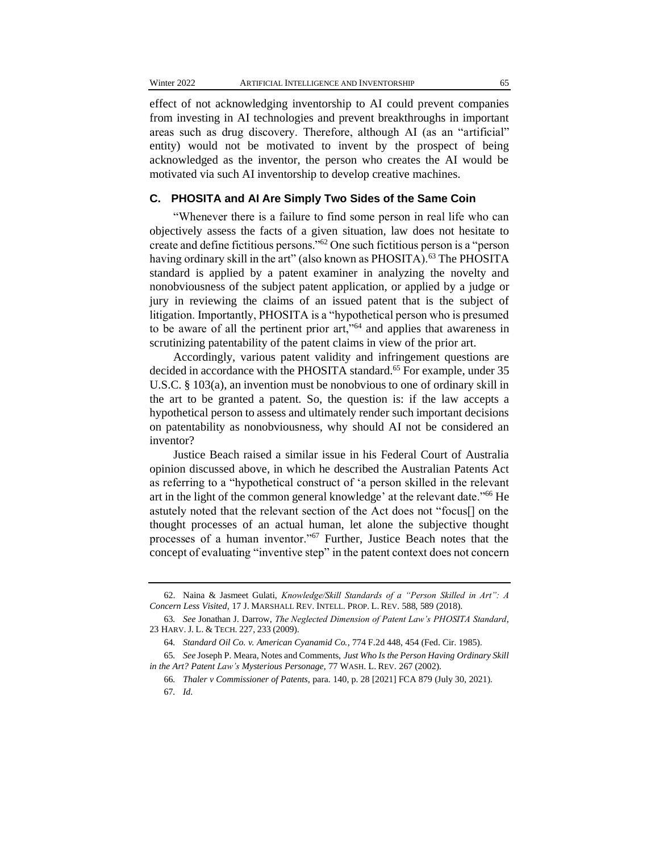effect of not acknowledging inventorship to AI could prevent companies from investing in AI technologies and prevent breakthroughs in important areas such as drug discovery. Therefore, although AI (as an "artificial" entity) would not be motivated to invent by the prospect of being acknowledged as the inventor, the person who creates the AI would be motivated via such AI inventorship to develop creative machines.

#### **C. PHOSITA and AI Are Simply Two Sides of the Same Coin**

"Whenever there is a failure to find some person in real life who can objectively assess the facts of a given situation, law does not hesitate to create and define fictitious persons."<sup>62</sup> One such fictitious person is a "person having ordinary skill in the art" (also known as PHOSITA).<sup>63</sup> The PHOSITA standard is applied by a patent examiner in analyzing the novelty and nonobviousness of the subject patent application, or applied by a judge or jury in reviewing the claims of an issued patent that is the subject of litigation. Importantly, PHOSITA is a "hypothetical person who is presumed to be aware of all the pertinent prior art,"<sup>64</sup> and applies that awareness in scrutinizing patentability of the patent claims in view of the prior art.

Accordingly, various patent validity and infringement questions are decided in accordance with the PHOSITA standard.<sup>65</sup> For example, under 35 U.S.C. § 103(a), an invention must be nonobvious to one of ordinary skill in the art to be granted a patent. So, the question is: if the law accepts a hypothetical person to assess and ultimately render such important decisions on patentability as nonobviousness, why should AI not be considered an inventor?

Justice Beach raised a similar issue in his Federal Court of Australia opinion discussed above, in which he described the Australian Patents Act as referring to a "hypothetical construct of 'a person skilled in the relevant art in the light of the common general knowledge' at the relevant date."<sup>66</sup> He astutely noted that the relevant section of the Act does not "focus[] on the thought processes of an actual human, let alone the subjective thought processes of a human inventor."<sup>67</sup> Further, Justice Beach notes that the concept of evaluating "inventive step" in the patent context does not concern

<sup>62.</sup> Naina & Jasmeet Gulati, *Knowledge/Skill Standards of a "Person Skilled in Art": A Concern Less Visited*, 17 J. MARSHALL REV. INTELL. PROP. L. REV. 588, 589 (2018).

<sup>63</sup>*. See* Jonathan J. Darrow, *The Neglected Dimension of Patent Law's PHOSITA Standard*, 23 HARV. J. L. & TECH. 227, 233 (2009).

<sup>64</sup>*. Standard Oil Co. v. American Cyanamid Co.*, 774 F.2d 448, 454 (Fed. Cir. 1985).

<sup>65</sup>*. See* Joseph P. Meara, Notes and Comments, *Just Who Is the Person Having Ordinary Skill in the Art? Patent Law's Mysterious Personage*, 77 WASH. L. REV. 267 (2002).

<sup>66</sup>*. Thaler v Commissioner of Patents*, para. 140, p. 28 [2021] FCA 879 (July 30, 2021). 67*. Id*.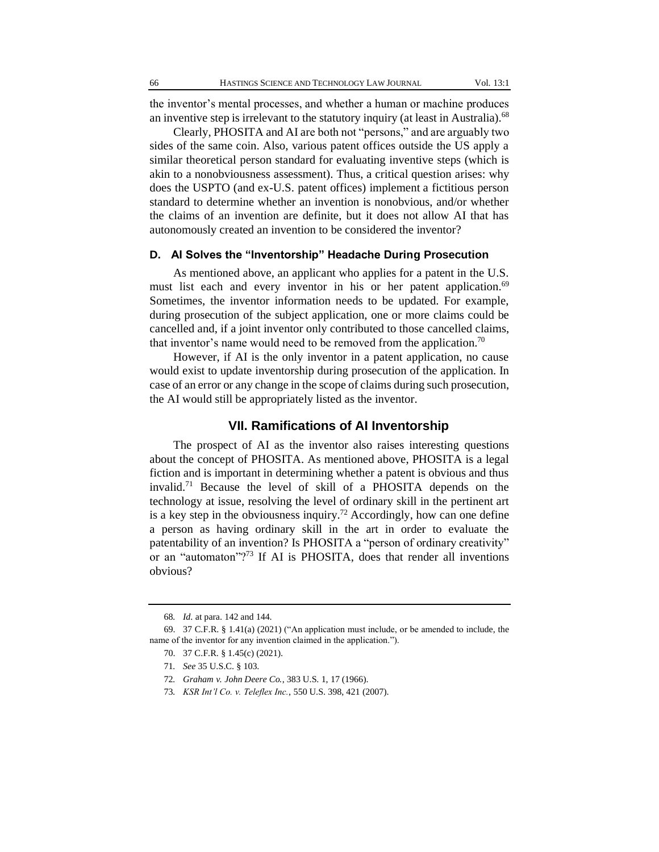the inventor's mental processes, and whether a human or machine produces an inventive step is irrelevant to the statutory inquiry (at least in Australia).<sup>68</sup>

Clearly, PHOSITA and AI are both not "persons," and are arguably two sides of the same coin. Also, various patent offices outside the US apply a similar theoretical person standard for evaluating inventive steps (which is akin to a nonobviousness assessment). Thus, a critical question arises: why does the USPTO (and ex-U.S. patent offices) implement a fictitious person standard to determine whether an invention is nonobvious, and/or whether the claims of an invention are definite, but it does not allow AI that has autonomously created an invention to be considered the inventor?

### **D. AI Solves the "Inventorship" Headache During Prosecution**

As mentioned above, an applicant who applies for a patent in the U.S. must list each and every inventor in his or her patent application.<sup>69</sup> Sometimes, the inventor information needs to be updated. For example, during prosecution of the subject application, one or more claims could be cancelled and, if a joint inventor only contributed to those cancelled claims, that inventor's name would need to be removed from the application.<sup>70</sup>

However, if AI is the only inventor in a patent application, no cause would exist to update inventorship during prosecution of the application. In case of an error or any change in the scope of claims during such prosecution, the AI would still be appropriately listed as the inventor.

#### **VII. Ramifications of AI Inventorship**

The prospect of AI as the inventor also raises interesting questions about the concept of PHOSITA. As mentioned above, PHOSITA is a legal fiction and is important in determining whether a patent is obvious and thus invalid.<sup>71</sup> Because the level of skill of a PHOSITA depends on the technology at issue, resolving the level of ordinary skill in the pertinent art is a key step in the obviousness inquiry.<sup>72</sup> Accordingly, how can one define a person as having ordinary skill in the art in order to evaluate the patentability of an invention? Is PHOSITA a "person of ordinary creativity" or an "automaton"?<sup>73</sup> If AI is PHOSITA, does that render all inventions obvious?

<sup>68</sup>*. Id*. at para. 142 and 144.

<sup>69.</sup> 37 C.F.R. § 1.41(a) (2021) ("An application must include, or be amended to include, the name of the inventor for any invention claimed in the application.").

<sup>70.</sup> 37 C.F.R. § 1.45(c) (2021).

<sup>71</sup>*. See* 35 U.S.C. § 103.

<sup>72</sup>*. Graham v. John Deere Co.*, 383 U.S. 1, 17 (1966).

<sup>73</sup>*. KSR Int'l Co. v. Teleflex Inc.*, 550 U.S. 398, 421 (2007).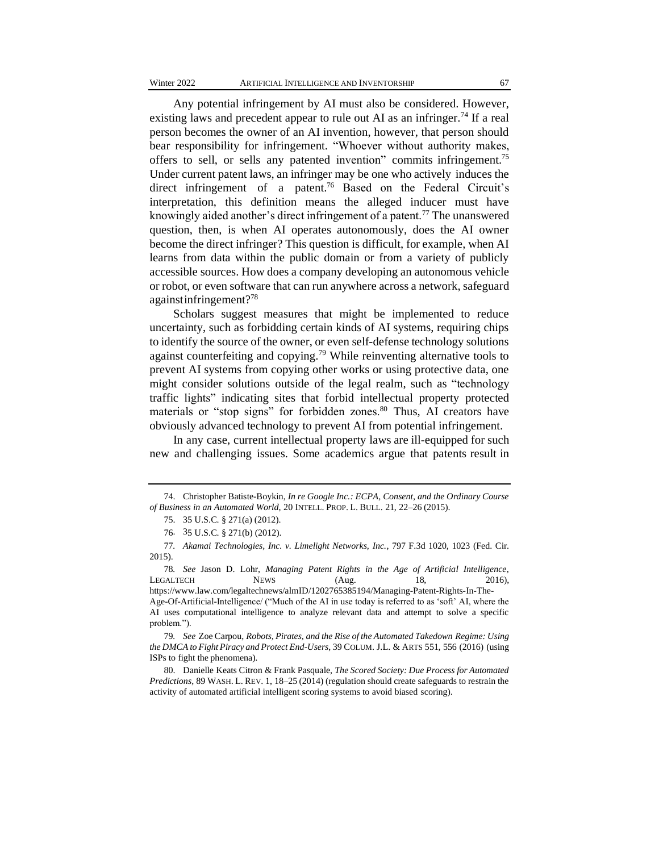Any potential infringement by AI must also be considered. However, existing laws and precedent appear to rule out AI as an infringer.<sup>74</sup> If a real person becomes the owner of an AI invention, however, that person should bear responsibility for infringement. "Whoever without authority makes, offers to sell, or sells any patented invention" commits infringement.<sup>75</sup> Under current patent laws, an infringer may be one who actively induces the direct infringement of a patent.<sup>76</sup> Based on the Federal Circuit's interpretation, this definition means the alleged inducer must have knowingly aided another's direct infringement of a patent.<sup>77</sup> The unanswered question, then, is when AI operates autonomously, does the AI owner become the direct infringer? This question is difficult, for example, when AI learns from data within the public domain or from a variety of publicly accessible sources. How does a company developing an autonomous vehicle or robot, or even software that can run anywhere across a network, safeguard againstinfringement?<sup>78</sup>

Scholars suggest measures that might be implemented to reduce uncertainty, such as forbidding certain kinds of AI systems, requiring chips to identify the source of the owner, or even self-defense technology solutions against counterfeiting and copying.<sup>79</sup> While reinventing alternative tools to prevent AI systems from copying other works or using protective data, one might consider solutions outside of the legal realm, such as "technology traffic lights" indicating sites that forbid intellectual property protected materials or "stop signs" for forbidden zones.<sup>80</sup> Thus, AI creators have obviously advanced technology to prevent AI from potential infringement.

In any case, current intellectual property laws are ill-equipped for such new and challenging issues. Some academics argue that patents result in

<sup>74.</sup> Christopher Batiste-Boykin, *In re Google Inc.: ECPA, Consent, and the Ordinary Course of Business in an Automated World*, 20 INTELL. PROP. L. BULL. 21, 22–26 (2015).

<sup>75.</sup> 35 U.S.C. § 271(a) (2012).

<sup>76.</sup> 35 U.S.C. § 271(b) (2012).

<sup>77</sup>*. Akamai Technologies, Inc. v. Limelight Networks, Inc.*, 797 F.3d 1020, 1023 (Fed. Cir. 2015).

<sup>78</sup>*. See* Jason D. Lohr, *Managing Patent Rights in the Age of Artificial Intelligence*, LEGALTECH NEWS (Aug. 18, 2016), https://www.law.com/legaltechnews/almID/1202765385194/Managing-Patent-Rights-In-The-

Age-Of-Artificial-Intelligence/ ("Much of the AI in use today is referred to as 'soft' AI, where the AI uses computational intelligence to analyze relevant data and attempt to solve a specific problem.").

<sup>79</sup>*. See* Zoe Carpou, *Robots, Pirates, and the Rise of the Automated Takedown Regime: Using the DMCA to Fight Piracy and Protect End-Users*, 39 COLUM. J.L. & ARTS 551, 556 (2016) (using ISPs to fight the phenomena).

<sup>80.</sup> Danielle Keats Citron & Frank Pasquale, *The Scored Society: Due Process for Automated Predictions*, 89 WASH. L. REV. 1, 18–25 (2014) (regulation should create safeguards to restrain the activity of automated artificial intelligent scoring systems to avoid biased scoring).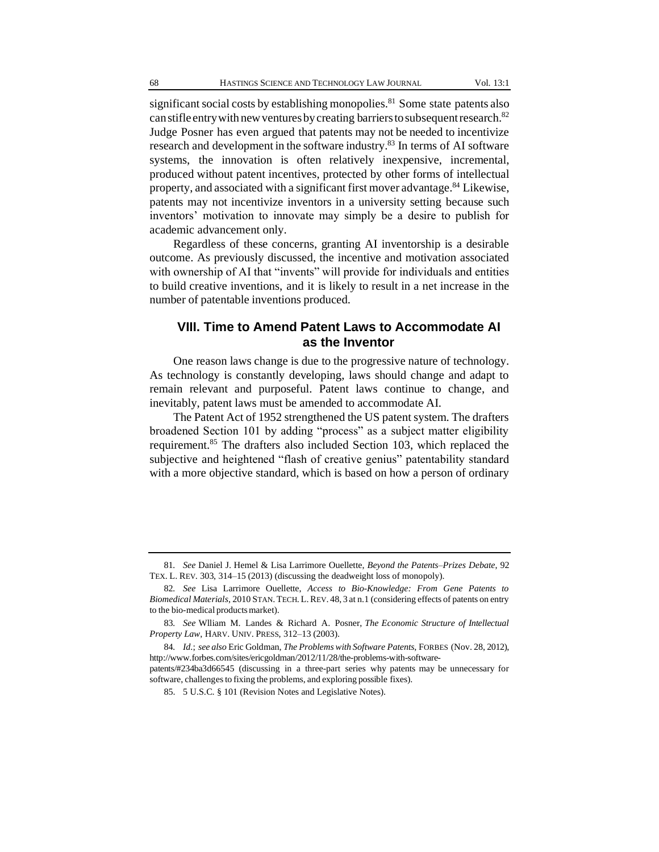significant social costs by establishing monopolies.<sup>81</sup> Some state patents also can stifle entry with new ventures by creating barriers to subsequent research.<sup>82</sup> Judge Posner has even argued that patents may not be needed to incentivize research and development in the software industry.<sup>83</sup> In terms of AI software systems, the innovation is often relatively inexpensive, incremental, produced without patent incentives, protected by other forms of intellectual property, and associated with a significant first mover advantage.<sup>84</sup> Likewise, patents may not incentivize inventors in a university setting because such inventors' motivation to innovate may simply be a desire to publish for academic advancement only.

Regardless of these concerns, granting AI inventorship is a desirable outcome. As previously discussed, the incentive and motivation associated with ownership of AI that "invents" will provide for individuals and entities to build creative inventions, and it is likely to result in a net increase in the number of patentable inventions produced.

## **VIII. Time to Amend Patent Laws to Accommodate AI as the Inventor**

One reason laws change is due to the progressive nature of technology. As technology is constantly developing, laws should change and adapt to remain relevant and purposeful. Patent laws continue to change, and inevitably, patent laws must be amended to accommodate AI.

The Patent Act of 1952 strengthened the US patent system. The drafters broadened Section 101 by adding "process" as a subject matter eligibility requirement.<sup>85</sup> The drafters also included Section 103, which replaced the subjective and heightened "flash of creative genius" patentability standard with a more objective standard, which is based on how a person of ordinary

<sup>81</sup>*. See* Daniel J. Hemel & Lisa Larrimore Ouellette, *Beyond the Patents–Prizes Debate*, 92 TEX. L. REV. 303, 314–15 (2013) (discussing the deadweight loss of monopoly).

<sup>82</sup>*. See* Lisa Larrimore Ouellette, *Access to Bio-Knowledge: From Gene Patents to Biomedical Materials*, 2010 STAN. TECH. L.REV. 48, 3 at n.1 (considering effects of patents on entry to the bio-medical productsmarket).

<sup>83</sup>*. See* Wlliam M. Landes & Richard A. Posner, *The Economic Structure of Intellectual Property Law*, HARV. UNIV. PRESS, 312–13 (2003).

<sup>84</sup>*. Id*.; *see also* Eric Goldman, *The Problems with Software Patents*, FORBES (Nov. 28, 2012), http://www.forbes.com/sites/ericgoldman/2012/11/28/the-problems-with-softwarepatents/#234ba3d66545 (discussing in a three-part series why patents may be unnecessary for

software, challenges to fixing the problems, and exploring possible fixes).

<sup>85.</sup> 5 U.S.C. § 101 (Revision Notes and Legislative Notes).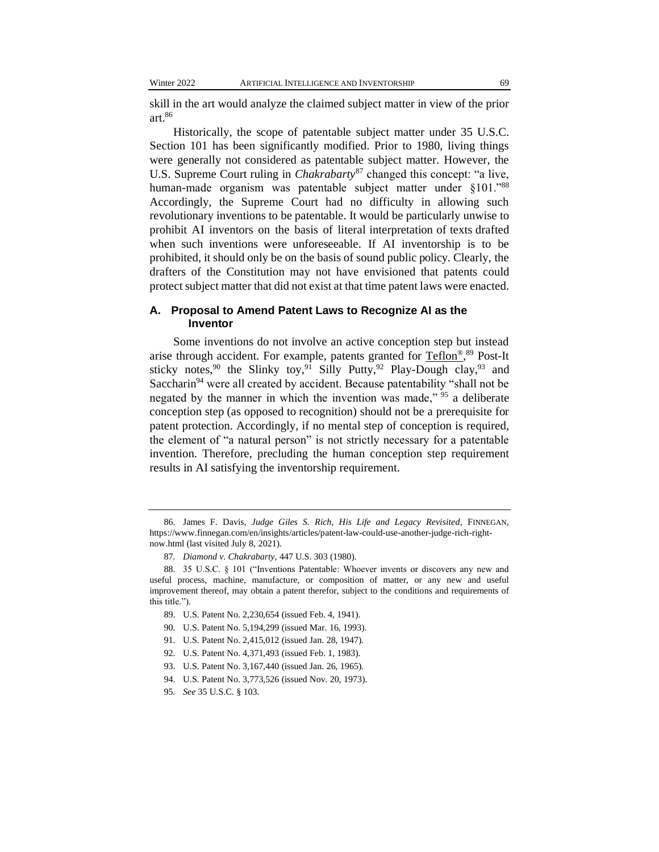skill in the art would analyze the claimed subject matter in view of the prior art.<sup>86</sup>

Historically, the scope of patentable subject matter under 35 U.S.C. Section 101 has been significantly modified. Prior to 1980, living things were generally not considered as patentable subject matter. However, the U.S. Supreme Court ruling in *Chakrabarty*<sup>87</sup> changed this concept: "a live, human-made organism was patentable subject matter under §101."88 Accordingly, the Supreme Court had no difficulty in allowing such revolutionary inventions to be patentable. It would be particularly unwise to prohibit AI inventors on the basis of literal interpretation of texts drafted when such inventions were unforeseeable. If AI inventorship is to be prohibited, it should only be on the basis of sound public policy. Clearly, the drafters of the Constitution may not have envisioned that patents could protect subject matter that did not exist at that time patent laws were enacted.

#### **A. Proposal to Amend Patent Laws to Recognize AI as the Inventor**

Some inventions do not involve an active conception step but instead arise through accident. For example, patents granted for [Teflon](https://www.suiter.com/wp-content/uploads/2018/02/Teflon-Trademark.pdf)®,<sup>89</sup> Post-It sticky notes,<sup>90</sup> the Slinky toy,<sup>91</sup> Silly Putty,<sup>92</sup> Play-Dough clay,<sup>93</sup> and Saccharin<sup>94</sup> were all created by accident. Because patentability "shall not be negated by the manner in which the invention was made," <sup>95</sup> a deliberate conception step (as opposed to recognition) should not be a prerequisite for patent protection. Accordingly, if no mental step of conception is required, the element of "a natural person" is not strictly necessary for a patentable invention. Therefore, precluding the human conception step requirement results in AI satisfying the inventorship requirement.

<sup>86.</sup> James F. Davis, *Judge Giles S. Rich, His Life and Legacy Revisited*, FINNEGAN, https://www.finnegan.com/en/insights/articles/patent-law-could-use-another-judge-rich-rightnow.html (last visited July 8, 2021).

<sup>87</sup>*. Diamond v. Chakrabarty*, 447 U.S. 303 (1980).

<sup>88.</sup> 35 U.S.C. § 101 ("Inventions Patentable: Whoever invents or discovers any new and useful process, machine, manufacture, or composition of matter, or any new and useful improvement thereof, may obtain a patent therefor, subject to the conditions and requirements of this title.").

<sup>89.</sup> U.S. Patent No. 2,230,654 (issued Feb. 4, 1941).

<sup>90.</sup> U.S. Patent No. 5,194,299 (issued Mar. 16, 1993).

<sup>91.</sup> U.S. Patent No. 2,415,012 (issued Jan. 28, 1947).

<sup>92.</sup> U.S. Patent No. 4,371,493 (issued Feb. 1, 1983).

<sup>93.</sup> U.S. Patent No. 3,167,440 (issued Jan. 26, 1965).

<sup>94.</sup> U.S. Patent No. 3,773,526 (issued Nov. 20, 1973).

<sup>95</sup>*. See* 35 U.S.C. § 103.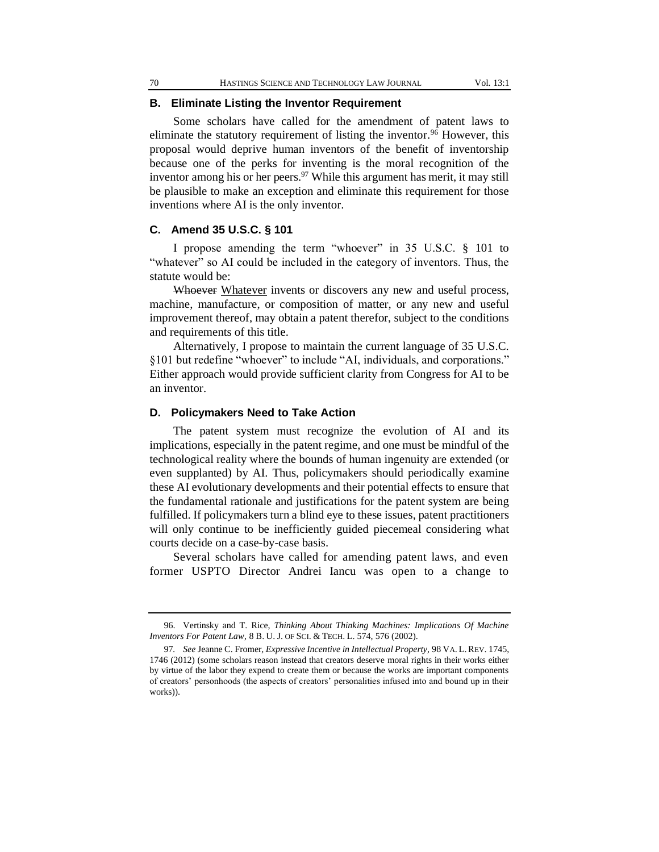## **B. Eliminate Listing the Inventor Requirement**

Some scholars have called for the amendment of patent laws to eliminate the statutory requirement of listing the inventor.<sup>96</sup> However, this proposal would deprive human inventors of the benefit of inventorship because one of the perks for inventing is the moral recognition of the inventor among his or her peers.  $97$  While this argument has merit, it may still be plausible to make an exception and eliminate this requirement for those inventions where AI is the only inventor.

#### **C. Amend 35 U.S.C. § 101**

I propose amending the term "whoever" in 35 U.S.C. § 101 to "whatever" so AI could be included in the category of inventors. Thus, the statute would be:

Whoever Whatever invents or discovers any new and useful process, machine, manufacture, or composition of matter, or any new and useful improvement thereof, may obtain a patent therefor, subject to the conditions and requirements of this title.

Alternatively, I propose to maintain the current language of 35 U.S.C. §101 but redefine "whoever" to include "AI, individuals, and corporations." Either approach would provide sufficient clarity from Congress for AI to be an inventor.

#### **D. Policymakers Need to Take Action**

The patent system must recognize the evolution of AI and its implications, especially in the patent regime, and one must be mindful of the technological reality where the bounds of human ingenuity are extended (or even supplanted) by AI. Thus, policymakers should periodically examine these AI evolutionary developments and their potential effects to ensure that the fundamental rationale and justifications for the patent system are being fulfilled. If policymakers turn a blind eye to these issues, patent practitioners will only continue to be inefficiently guided piecemeal considering what courts decide on a case-by-case basis.

Several scholars have called for amending patent laws, and even former USPTO Director Andrei Iancu was open to a change to

<sup>96.</sup> Vertinsky and T. Rice, *Thinking About Thinking Machines: Implications Of Machine Inventors For Patent Law*, 8 B. U. J. OF SCI. & TECH. L. 574, 576 (2002).

<sup>97</sup>*. See* Jeanne C. Fromer, *Expressive Incentive in Intellectual Property*, 98 VA. L.REV. 1745, 1746 (2012) (some scholars reason instead that creators deserve moral rights in their works either by virtue of the labor they expend to create them or because the works are important components of creators' personhoods (the aspects of creators' personalities infused into and bound up in their works)).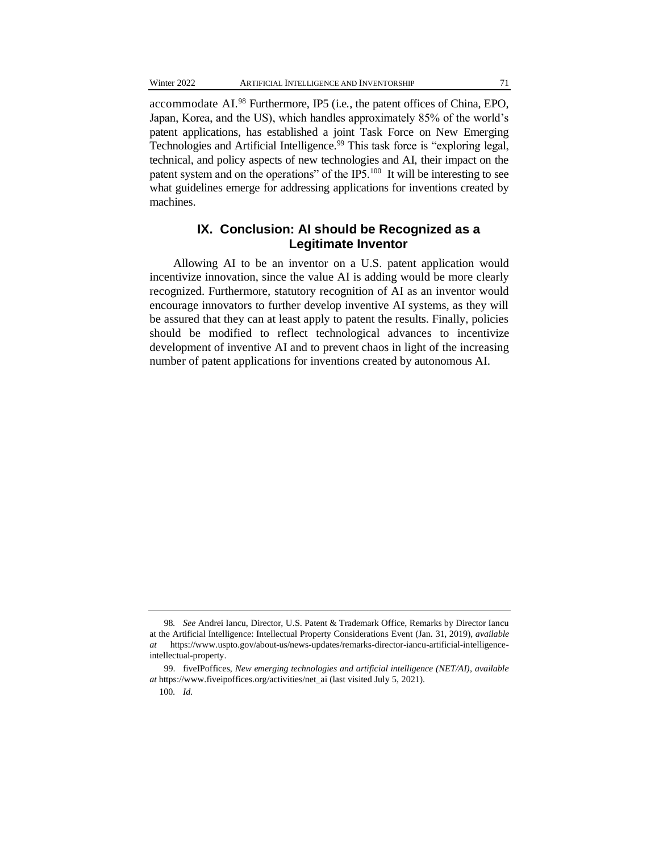accommodate AI.<sup>98</sup> Furthermore, IP5 (i.e*.*, the patent offices of China, EPO, Japan, Korea, and the US), which handles approximately 85% of the world's patent applications, has established a joint Task Force on New Emerging Technologies and Artificial Intelligence.<sup>99</sup> This task force is "exploring legal, technical, and policy aspects of new technologies and AI, their impact on the patent system and on the operations" of the IP5.<sup>100</sup> It will be interesting to see what guidelines emerge for addressing applications for inventions created by machines.

## **IX. Conclusion: AI should be Recognized as a Legitimate Inventor**

Allowing AI to be an inventor on a U.S. patent application would incentivize innovation, since the value AI is adding would be more clearly recognized. Furthermore, statutory recognition of AI as an inventor would encourage innovators to further develop inventive AI systems, as they will be assured that they can at least apply to patent the results. Finally, policies should be modified to reflect technological advances to incentivize development of inventive AI and to prevent chaos in light of the increasing number of patent applications for inventions created by autonomous AI.

<sup>98</sup>*. See* Andrei Iancu, Director, U.S. Patent & Trademark Office, Remarks by Director Iancu at the Artificial Intelligence: Intellectual Property Considerations Event (Jan. 31, 2019), *available at* https://www.uspto.gov/about-us/news-updates/remarks-director-iancu-artificial-intelligenceintellectual-property.

<sup>99.</sup> fiveIPoffices, *New emerging technologies and artificial intelligence (NET/AI)*, *available at* https://www.fiveipoffices.org/activities/net\_ai (last visited July 5, 2021).

<sup>100</sup>*. Id.*